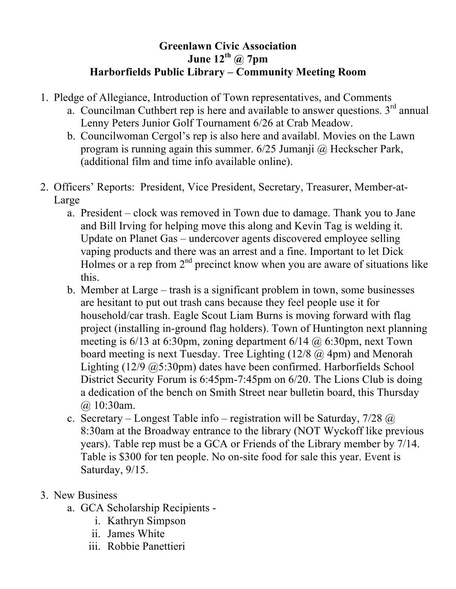## **Greenlawn Civic Association June 12th @ 7pm Harborfields Public Library – Community Meeting Room**

- 1. Pledge of Allegiance, Introduction of Town representatives, and Comments
	- a. Councilman Cuthbert rep is here and available to answer questions.  $3<sup>rd</sup>$  annual Lenny Peters Junior Golf Tournament 6/26 at Crab Meadow.
	- b. Councilwoman Cergol's rep is also here and availabl. Movies on the Lawn program is running again this summer. 6/25 Jumanji @ Heckscher Park, (additional film and time info available online).
- 2. Officers' Reports: President, Vice President, Secretary, Treasurer, Member-at-Large
	- a. President clock was removed in Town due to damage. Thank you to Jane and Bill Irving for helping move this along and Kevin Tag is welding it. Update on Planet Gas – undercover agents discovered employee selling vaping products and there was an arrest and a fine. Important to let Dick Holmes or a rep from  $2<sup>nd</sup>$  precinct know when you are aware of situations like this.
	- b. Member at Large trash is a significant problem in town, some businesses are hesitant to put out trash cans because they feel people use it for household/car trash. Eagle Scout Liam Burns is moving forward with flag project (installing in-ground flag holders). Town of Huntington next planning meeting is  $6/13$  at  $6:30 \text{pm}$ , zoning department  $6/14$   $\omega$   $6:30 \text{pm}$ , next Town board meeting is next Tuesday. Tree Lighting (12/8 @ 4pm) and Menorah Lighting (12/9 @5:30pm) dates have been confirmed. Harborfields School District Security Forum is 6:45pm-7:45pm on 6/20. The Lions Club is doing a dedication of the bench on Smith Street near bulletin board, this Thursday @ 10:30am.
	- c. Secretary Longest Table info registration will be Saturday,  $7/28$   $\omega$ 8:30am at the Broadway entrance to the library (NOT Wyckoff like previous years). Table rep must be a GCA or Friends of the Library member by 7/14. Table is \$300 for ten people. No on-site food for sale this year. Event is Saturday, 9/15.
- 3. New Business
	- a. GCA Scholarship Recipients
		- i. Kathryn Simpson
		- ii. James White
		- iii. Robbie Panettieri